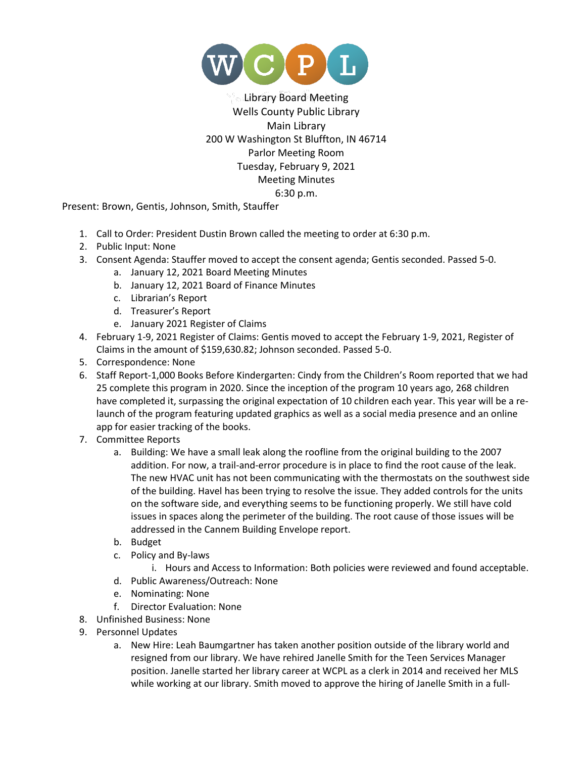

## Library Board Meeting Wells County Public Library Main Library 200 W Washington St Bluffton, IN 46714 Parlor Meeting Room Tuesday, February 9, 2021 Meeting Minutes 6:30 p.m.

Present: Brown, Gentis, Johnson, Smith, Stauffer

- 1. Call to Order: President Dustin Brown called the meeting to order at 6:30 p.m.
- 2. Public Input: None
- 3. Consent Agenda: Stauffer moved to accept the consent agenda; Gentis seconded. Passed 5-0.
	- a. January 12, 2021 Board Meeting Minutes
	- b. January 12, 2021 Board of Finance Minutes
	- c. Librarian's Report
	- d. Treasurer's Report
	- e. January 2021 Register of Claims
- 4. February 1-9, 2021 Register of Claims: Gentis moved to accept the February 1-9, 2021, Register of Claims in the amount of \$159,630.82; Johnson seconded. Passed 5-0.
- 5. Correspondence: None
- 6. Staff Report-1,000 Books Before Kindergarten: Cindy from the Children's Room reported that we had 25 complete this program in 2020. Since the inception of the program 10 years ago, 268 children have completed it, surpassing the original expectation of 10 children each year. This year will be a relaunch of the program featuring updated graphics as well as a social media presence and an online app for easier tracking of the books.
- 7. Committee Reports
	- a. Building: We have a small leak along the roofline from the original building to the 2007 addition. For now, a trail-and-error procedure is in place to find the root cause of the leak. The new HVAC unit has not been communicating with the thermostats on the southwest side of the building. Havel has been trying to resolve the issue. They added controls for the units on the software side, and everything seems to be functioning properly. We still have cold issues in spaces along the perimeter of the building. The root cause of those issues will be addressed in the Cannem Building Envelope report.
	- b. Budget
	- c. Policy and By-laws
		- i. Hours and Access to Information: Both policies were reviewed and found acceptable.
	- d. Public Awareness/Outreach: None
	- e. Nominating: None
	- f. Director Evaluation: None
- 8. Unfinished Business: None
- 9. Personnel Updates
	- a. New Hire: Leah Baumgartner has taken another position outside of the library world and resigned from our library. We have rehired Janelle Smith for the Teen Services Manager position. Janelle started her library career at WCPL as a clerk in 2014 and received her MLS while working at our library. Smith moved to approve the hiring of Janelle Smith in a full-